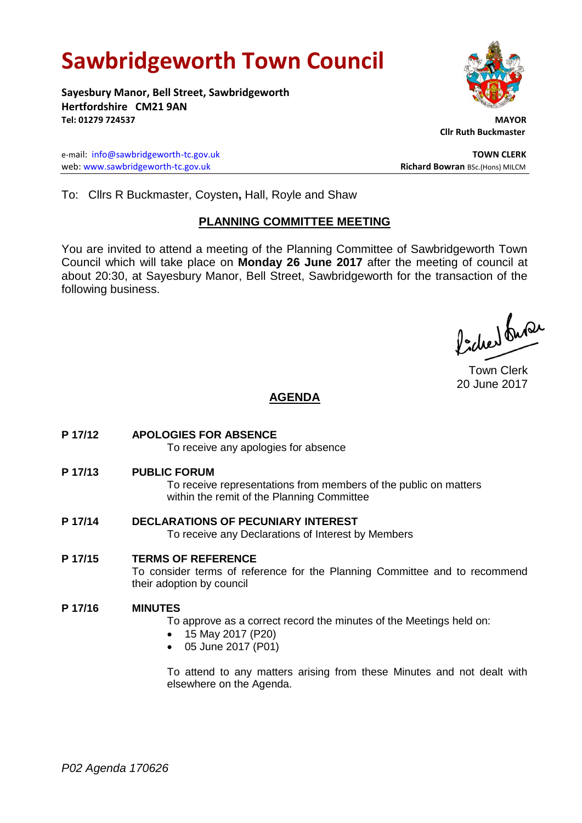# **Sawbridgeworth Town Council**

**Sayesbury Manor, Bell Street, Sawbridgeworth Hertfordshire CM21 9AN Tel: 01279 724537 MAYOR**

e-mail: [info@sawbridgeworth-tc.gov.uk](mailto:info@sawbridgeworth-tc.gov.uk) **TOWN CLERK** web: www.sawbridgeworth-tc.gov.uk<br> **Richard Bowran** BSc.(Hons) MILCM

 **Cllr Ruth Buckmaster** 

To: Cllrs R Buckmaster, Coysten**,** Hall, Royle and Shaw

#### **PLANNING COMMITTEE MEETING**

You are invited to attend a meeting of the Planning Committee of Sawbridgeworth Town Council which will take place on **Monday 26 June 2017** after the meeting of council at about 20:30, at Sayesbury Manor, Bell Street, Sawbridgeworth for the transaction of the following business.

ladres buse

Town Clerk 20 June 2017

## **AGENDA**

- **P 17/12 APOLOGIES FOR ABSENCE** To receive any apologies for absence
- **P 17/13 PUBLIC FORUM**

To receive representations from members of the public on matters within the remit of the Planning Committee

- **P 17/14 DECLARATIONS OF PECUNIARY INTEREST** To receive any Declarations of Interest by Members
- **P 17/15 TERMS OF REFERENCE** To consider terms of reference for the Planning Committee and to recommend their adoption by council

#### **P 17/16 MINUTES**

To approve as a correct record the minutes of the Meetings held on:

- 15 May 2017 (P20)
- 05 June 2017 (P01)

To attend to any matters arising from these Minutes and not dealt with elsewhere on the Agenda.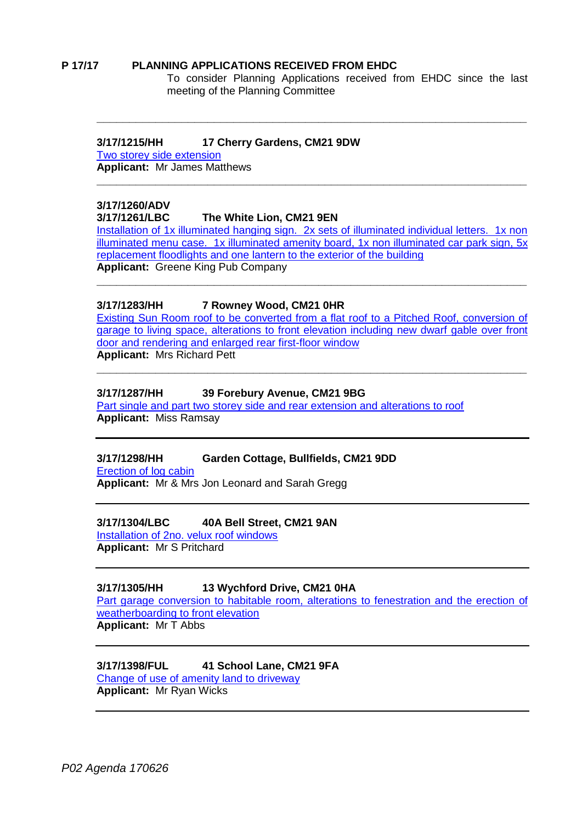#### **P 17/17 PLANNING APPLICATIONS RECEIVED FROM EHDC**

To consider Planning Applications received from EHDC since the last meeting of the Planning Committee

#### **3/17/1215/HH 17 Cherry Gardens, CM21 9DW**

[Two storey side extension](https://publicaccess.eastherts.gov.uk/online-applications/applicationDetails.do?activeTab=summary&keyVal=OQEV3LGLGXU00) **Applicant:** Mr James Matthews

# **\_\_\_\_\_\_\_\_\_\_\_\_\_\_\_\_\_\_\_\_\_\_\_\_\_\_\_\_\_\_\_\_\_\_\_\_\_\_\_\_\_\_\_\_\_\_\_\_\_\_\_\_\_\_\_\_\_\_\_\_\_\_\_\_\_\_**

# **3/17/1260/ADV**

#### **3/17/1261/LBC The White Lion, CM21 9EN**

[Installation of 1x illuminated hanging sign. 2x sets of illuminated individual letters. 1x non](https://publicaccess.eastherts.gov.uk/online-applications/applicationDetails.do?activeTab=summary&keyVal=OQRIQ2GLH1400)  [illuminated menu case. 1x illuminated amenity board, 1x non illuminated car park sign, 5x](https://publicaccess.eastherts.gov.uk/online-applications/applicationDetails.do?activeTab=summary&keyVal=OQRIQ2GLH1400)  [replacement floodlights and one lantern to the exterior of the building](https://publicaccess.eastherts.gov.uk/online-applications/applicationDetails.do?activeTab=summary&keyVal=OQRIQ2GLH1400) **Applicant:** Greene King Pub Company

**\_\_\_\_\_\_\_\_\_\_\_\_\_\_\_\_\_\_\_\_\_\_\_\_\_\_\_\_\_\_\_\_\_\_\_\_\_\_\_\_\_\_\_\_\_\_\_\_\_\_\_\_\_\_\_\_\_\_\_\_\_\_\_\_\_\_**

**\_\_\_\_\_\_\_\_\_\_\_\_\_\_\_\_\_\_\_\_\_\_\_\_\_\_\_\_\_\_\_\_\_\_\_\_\_\_\_\_\_\_\_\_\_\_\_\_\_\_\_\_\_\_\_\_\_\_\_\_\_\_\_\_\_\_**

#### **3/17/1283/HH 7 Rowney Wood, CM21 0HR**

[Existing Sun Room roof to be converted from a flat roof to a Pitched Roof, conversion of](https://publicaccess.eastherts.gov.uk/online-applications/applicationDetails.do?activeTab=summary&keyVal=OQTOKZGLH2300)  [garage to living space, alterations to front elevation including new dwarf gable over front](https://publicaccess.eastherts.gov.uk/online-applications/applicationDetails.do?activeTab=summary&keyVal=OQTOKZGLH2300)  [door and rendering and enlarged rear first-floor window](https://publicaccess.eastherts.gov.uk/online-applications/applicationDetails.do?activeTab=summary&keyVal=OQTOKZGLH2300) **Applicant:** Mrs Richard Pett

**\_\_\_\_\_\_\_\_\_\_\_\_\_\_\_\_\_\_\_\_\_\_\_\_\_\_\_\_\_\_\_\_\_\_\_\_\_\_\_\_\_\_\_\_\_\_\_\_\_\_\_\_\_\_\_\_\_\_\_\_\_\_\_\_\_\_**

## **3/17/1287/HH 39 Forebury Avenue, CM21 9BG**

[Part single and part two storey side and rear extension and alterations to roof](https://publicaccess.eastherts.gov.uk/online-applications/applicationDetails.do?activeTab=summary&keyVal=OQV7YMGLH2900) **Applicant:** Miss Ramsay

#### **3/17/1298/HH Garden Cottage, Bullfields, CM21 9DD**

[Erection of log cabin](https://publicaccess.eastherts.gov.uk/online-applications/applicationDetails.do?activeTab=summary&keyVal=OR2BLIGLH3A00) **Applicant:** Mr & Mrs Jon Leonard and Sarah Gregg

#### **3/17/1304/LBC 40A Bell Street, CM21 9AN**

[Installation of 2no. velux roof windows](https://publicaccess.eastherts.gov.uk/online-applications/applicationDetails.do?activeTab=summary&keyVal=OR2M7IGL00X00) **Applicant:** Mr S Pritchard

#### **3/17/1305/HH 13 Wychford Drive, CM21 0HA**

[Part garage conversion to habitable room, alterations to fenestration and the erection](https://publicaccess.eastherts.gov.uk/online-applications/applicationDetails.do?activeTab=summary&keyVal=OR2MBFGL00X00) of [weatherboarding to front elevation](https://publicaccess.eastherts.gov.uk/online-applications/applicationDetails.do?activeTab=summary&keyVal=OR2MBFGL00X00) **Applicant:** Mr T Abbs

#### **3/17/1398/FUL 41 School Lane, CM21 9FA**

[Change of use of amenity land to driveway](https://publicaccess.eastherts.gov.uk/online-applications/applicationDetails.do?activeTab=summary&keyVal=ORLDWNGL00B00) **Applicant:** Mr Ryan Wicks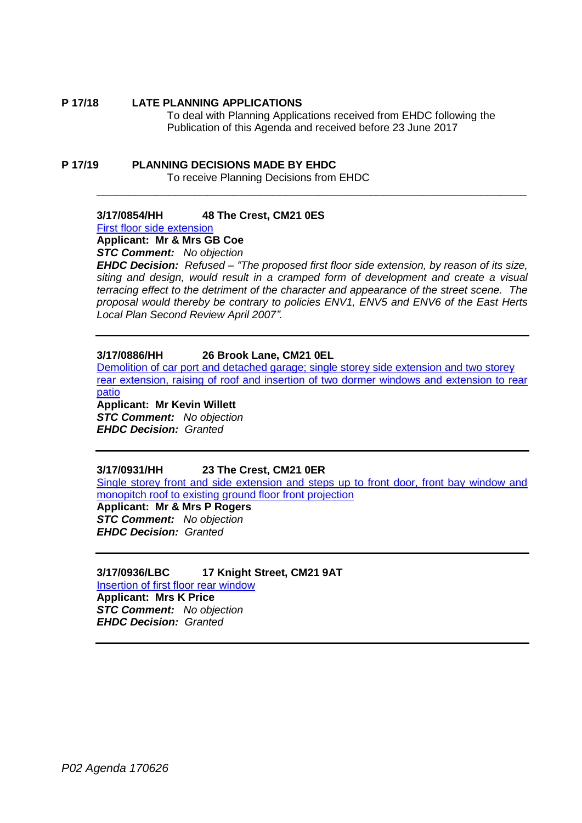#### **P 17/18 LATE PLANNING APPLICATIONS**

To deal with Planning Applications received from EHDC following the Publication of this Agenda and received before 23 June 2017

#### **P 17/19 PLANNING DECISIONS MADE BY EHDC** To receive Planning Decisions from EHDC

## **3/17/0854/HH 48 The Crest, CM21 0ES**

[First floor side extension](https://publicaccess.eastherts.gov.uk/online-applications/applicationDetails.do?activeTab=summary&keyVal=ONZDU9GL00X00)

**Applicant: Mr & Mrs GB Coe**

*STC Comment: No objection*

*EHDC Decision: Refused – "The proposed first floor side extension, by reason of its size, siting and design, would result in a cramped form of development and create a visual terracing effect to the detriment of the character and appearance of the street scene. The proposal would thereby be contrary to policies ENV1, ENV5 and ENV6 of the East Herts Local Plan Second Review April 2007".*

**\_\_\_\_\_\_\_\_\_\_\_\_\_\_\_\_\_\_\_\_\_\_\_\_\_\_\_\_\_\_\_\_\_\_\_\_\_\_\_\_\_\_\_\_\_\_\_\_\_\_\_\_\_\_\_\_\_\_\_\_\_\_\_\_\_\_**

#### **3/17/0886/HH 26 Brook Lane, CM21 0EL**

[Demolition of car port and detached garage; single storey side extension and two storey](https://publicaccess.eastherts.gov.uk/online-applications/applicationDetails.do?activeTab=summary&keyVal=OO78GCGLGDX00) [rear extension, raising of roof and insertion of two dormer windows and extension to rear](https://publicaccess.eastherts.gov.uk/online-applications/applicationDetails.do?activeTab=summary&keyVal=OO78GCGLGDX00)  [patio](https://publicaccess.eastherts.gov.uk/online-applications/applicationDetails.do?activeTab=summary&keyVal=OO78GCGLGDX00)

**Applicant: Mr Kevin Willett**

*STC Comment: No objection EHDC Decision: Granted*

#### **3/17/0931/HH 23 The Crest, CM21 0ER**

[Single storey front and side extension and steps up to front door, front bay window and](https://publicaccess.eastherts.gov.uk/online-applications/applicationDetails.do?activeTab=summary&keyVal=OONA76GLGGH00)  [monopitch roof to existing ground](https://publicaccess.eastherts.gov.uk/online-applications/applicationDetails.do?activeTab=summary&keyVal=OONA76GLGGH00) floor front projection

**Applicant: Mr & Mrs P Rogers** *STC Comment: No objection EHDC Decision: Granted*

#### **3/17/0936/LBC 17 Knight Street, CM21 9AT** [Insertion of first floor rear window](https://publicaccess.eastherts.gov.uk/online-applications/applicationDetails.do?activeTab=summary&keyVal=OONWGNGLGGV00)

**Applicant: Mrs K Price** *STC Comment: No objection EHDC Decision: Granted*